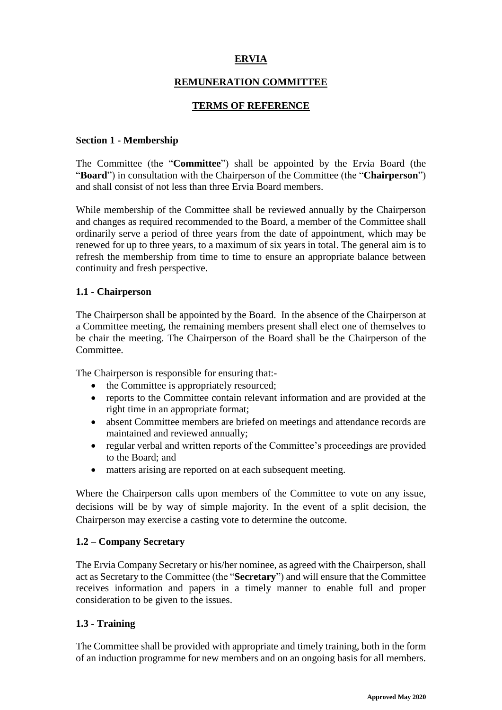# **ERVIA**

### **REMUNERATION COMMITTEE**

### **TERMS OF REFERENCE**

#### **Section 1 - Membership**

The Committee (the "**Committee**") shall be appointed by the Ervia Board (the "**Board**") in consultation with the Chairperson of the Committee (the "**Chairperson**") and shall consist of not less than three Ervia Board members.

While membership of the Committee shall be reviewed annually by the Chairperson and changes as required recommended to the Board, a member of the Committee shall ordinarily serve a period of three years from the date of appointment, which may be renewed for up to three years, to a maximum of six years in total. The general aim is to refresh the membership from time to time to ensure an appropriate balance between continuity and fresh perspective.

#### **1.1 - Chairperson**

The Chairperson shall be appointed by the Board. In the absence of the Chairperson at a Committee meeting, the remaining members present shall elect one of themselves to be chair the meeting. The Chairperson of the Board shall be the Chairperson of the Committee.

The Chairperson is responsible for ensuring that:-

- the Committee is appropriately resourced;
- reports to the Committee contain relevant information and are provided at the right time in an appropriate format;
- absent Committee members are briefed on meetings and attendance records are maintained and reviewed annually;
- regular verbal and written reports of the Committee's proceedings are provided to the Board; and
- matters arising are reported on at each subsequent meeting.

Where the Chairperson calls upon members of the Committee to vote on any issue, decisions will be by way of simple majority. In the event of a split decision, the Chairperson may exercise a casting vote to determine the outcome.

#### **1.2 – Company Secretary**

The Ervia Company Secretary or his/her nominee, as agreed with the Chairperson, shall act as Secretary to the Committee (the "**Secretary**") and will ensure that the Committee receives information and papers in a timely manner to enable full and proper consideration to be given to the issues.

#### **1.3 - Training**

The Committee shall be provided with appropriate and timely training, both in the form of an induction programme for new members and on an ongoing basis for all members.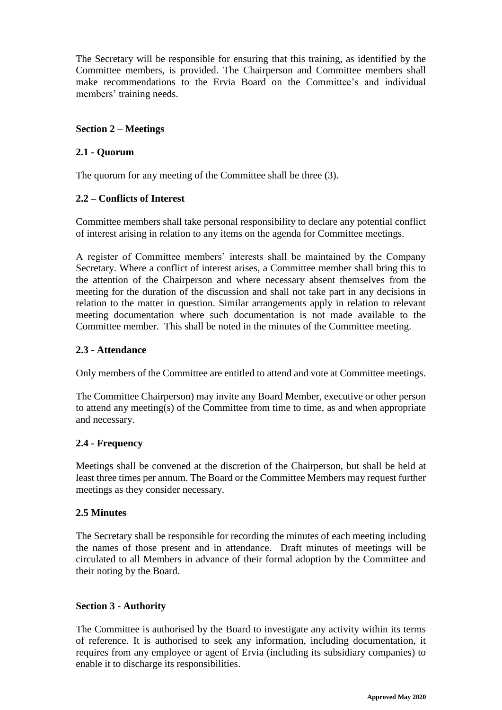The Secretary will be responsible for ensuring that this training, as identified by the Committee members, is provided. The Chairperson and Committee members shall make recommendations to the Ervia Board on the Committee's and individual members' training needs.

### **Section 2 – Meetings**

### **2.1 - Quorum**

The quorum for any meeting of the Committee shall be three (3).

# **2.2 – Conflicts of Interest**

Committee members shall take personal responsibility to declare any potential conflict of interest arising in relation to any items on the agenda for Committee meetings.

A register of Committee members' interests shall be maintained by the Company Secretary. Where a conflict of interest arises, a Committee member shall bring this to the attention of the Chairperson and where necessary absent themselves from the meeting for the duration of the discussion and shall not take part in any decisions in relation to the matter in question. Similar arrangements apply in relation to relevant meeting documentation where such documentation is not made available to the Committee member. This shall be noted in the minutes of the Committee meeting.

### **2.3 - Attendance**

Only members of the Committee are entitled to attend and vote at Committee meetings.

The Committee Chairperson) may invite any Board Member, executive or other person to attend any meeting(s) of the Committee from time to time, as and when appropriate and necessary.

# **2.4 - Frequency**

Meetings shall be convened at the discretion of the Chairperson, but shall be held at least three times per annum. The Board or the Committee Members may request further meetings as they consider necessary.

#### **2.5 Minutes**

The Secretary shall be responsible for recording the minutes of each meeting including the names of those present and in attendance. Draft minutes of meetings will be circulated to all Members in advance of their formal adoption by the Committee and their noting by the Board.

#### **Section 3 - Authority**

The Committee is authorised by the Board to investigate any activity within its terms of reference. It is authorised to seek any information, including documentation, it requires from any employee or agent of Ervia (including its subsidiary companies) to enable it to discharge its responsibilities.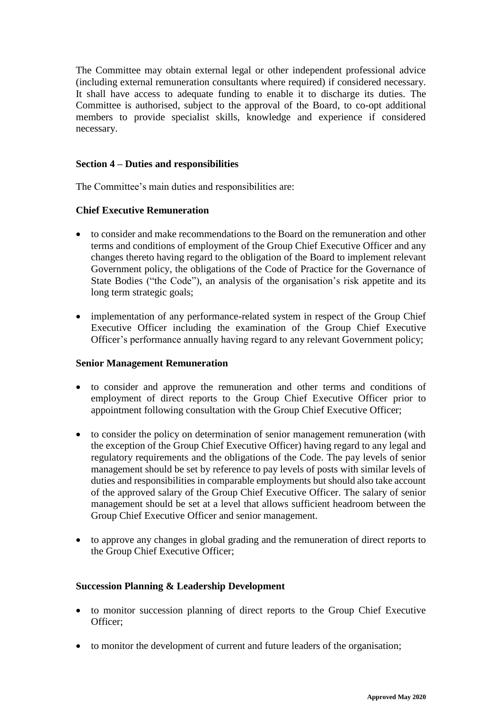The Committee may obtain external legal or other independent professional advice (including external remuneration consultants where required) if considered necessary. It shall have access to adequate funding to enable it to discharge its duties. The Committee is authorised, subject to the approval of the Board, to co-opt additional members to provide specialist skills, knowledge and experience if considered necessary.

### **Section 4 – Duties and responsibilities**

The Committee's main duties and responsibilities are:

### **Chief Executive Remuneration**

- to consider and make recommendations to the Board on the remuneration and other terms and conditions of employment of the Group Chief Executive Officer and any changes thereto having regard to the obligation of the Board to implement relevant Government policy, the obligations of the Code of Practice for the Governance of State Bodies ("the Code"), an analysis of the organisation's risk appetite and its long term strategic goals;
- implementation of any performance-related system in respect of the Group Chief Executive Officer including the examination of the Group Chief Executive Officer's performance annually having regard to any relevant Government policy;

#### **Senior Management Remuneration**

- to consider and approve the remuneration and other terms and conditions of employment of direct reports to the Group Chief Executive Officer prior to appointment following consultation with the Group Chief Executive Officer;
- to consider the policy on determination of senior management remuneration (with the exception of the Group Chief Executive Officer) having regard to any legal and regulatory requirements and the obligations of the Code. The pay levels of senior management should be set by reference to pay levels of posts with similar levels of duties and responsibilities in comparable employments but should also take account of the approved salary of the Group Chief Executive Officer. The salary of senior management should be set at a level that allows sufficient headroom between the Group Chief Executive Officer and senior management.
- to approve any changes in global grading and the remuneration of direct reports to the Group Chief Executive Officer;

#### **Succession Planning & Leadership Development**

- to monitor succession planning of direct reports to the Group Chief Executive Officer;
- to monitor the development of current and future leaders of the organisation;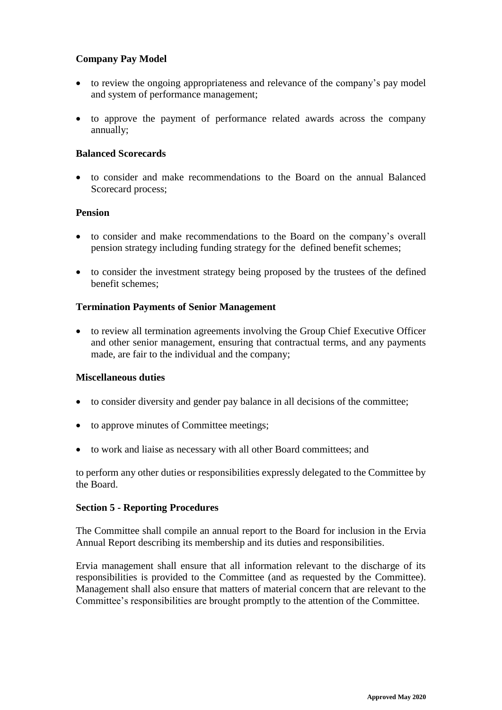### **Company Pay Model**

- to review the ongoing appropriateness and relevance of the company's pay model and system of performance management;
- to approve the payment of performance related awards across the company annually;

#### **Balanced Scorecards**

 to consider and make recommendations to the Board on the annual Balanced Scorecard process;

#### **Pension**

- to consider and make recommendations to the Board on the company's overall pension strategy including funding strategy for the defined benefit schemes;
- to consider the investment strategy being proposed by the trustees of the defined benefit schemes;

#### **Termination Payments of Senior Management**

 to review all termination agreements involving the Group Chief Executive Officer and other senior management, ensuring that contractual terms, and any payments made, are fair to the individual and the company;

# **Miscellaneous duties**

- to consider diversity and gender pay balance in all decisions of the committee;
- to approve minutes of Committee meetings;
- to work and liaise as necessary with all other Board committees; and

to perform any other duties or responsibilities expressly delegated to the Committee by the Board.

#### **Section 5 - Reporting Procedures**

The Committee shall compile an annual report to the Board for inclusion in the Ervia Annual Report describing its membership and its duties and responsibilities.

Ervia management shall ensure that all information relevant to the discharge of its responsibilities is provided to the Committee (and as requested by the Committee). Management shall also ensure that matters of material concern that are relevant to the Committee's responsibilities are brought promptly to the attention of the Committee.